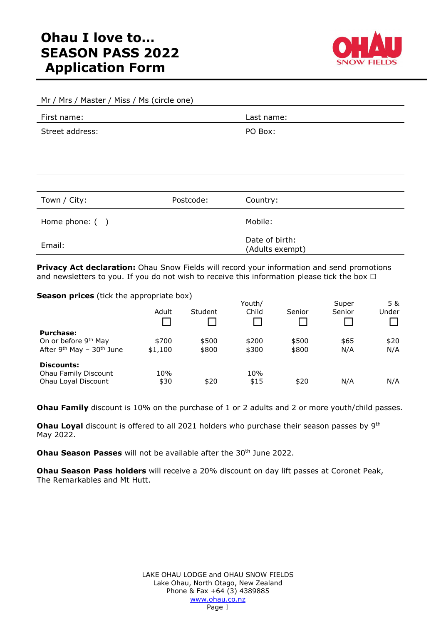

| Mr / Mrs / Master / Miss / Ms (circle one) |           |                                   |  |  |  |
|--------------------------------------------|-----------|-----------------------------------|--|--|--|
| First name:                                |           | Last name:                        |  |  |  |
| Street address:                            |           | PO Box:                           |  |  |  |
|                                            |           |                                   |  |  |  |
|                                            |           |                                   |  |  |  |
|                                            |           |                                   |  |  |  |
| Town / City:                               | Postcode: | Country:                          |  |  |  |
| Home phone: ()                             |           | Mobile:                           |  |  |  |
| Email:                                     |           | Date of birth:<br>(Adults exempt) |  |  |  |

**Privacy Act declaration:** Ohau Snow Fields will record your information and send promotions and newsletters to you. If you do not wish to receive this information please tick the box  $\Box$ 

**Season prices** (tick the appropriate box)

| Adult   | Student | Youth/<br>Child | Senior | Super<br>Senior | 5 &<br>Under |
|---------|---------|-----------------|--------|-----------------|--------------|
|         |         |                 |        |                 |              |
| \$700   | \$500   | \$200           | \$500  | \$65            | \$20         |
| \$1,100 | \$800   | \$300           | \$800  | N/A             | N/A          |
|         |         |                 |        |                 |              |
| 10%     |         | 10%             |        |                 |              |
| \$30    | \$20    | \$15            | \$20   | N/A             | N/A          |
|         |         |                 |        |                 |              |

**Ohau Family** discount is 10% on the purchase of 1 or 2 adults and 2 or more youth/child passes.

**Ohau Loyal** discount is offered to all 2021 holders who purchase their season passes by 9<sup>th</sup> May 2022.

**Ohau Season Passes** will not be available after the 30<sup>th</sup> June 2022.

**Ohau Season Pass holders** will receive a 20% discount on day lift passes at Coronet Peak, The Remarkables and Mt Hutt.